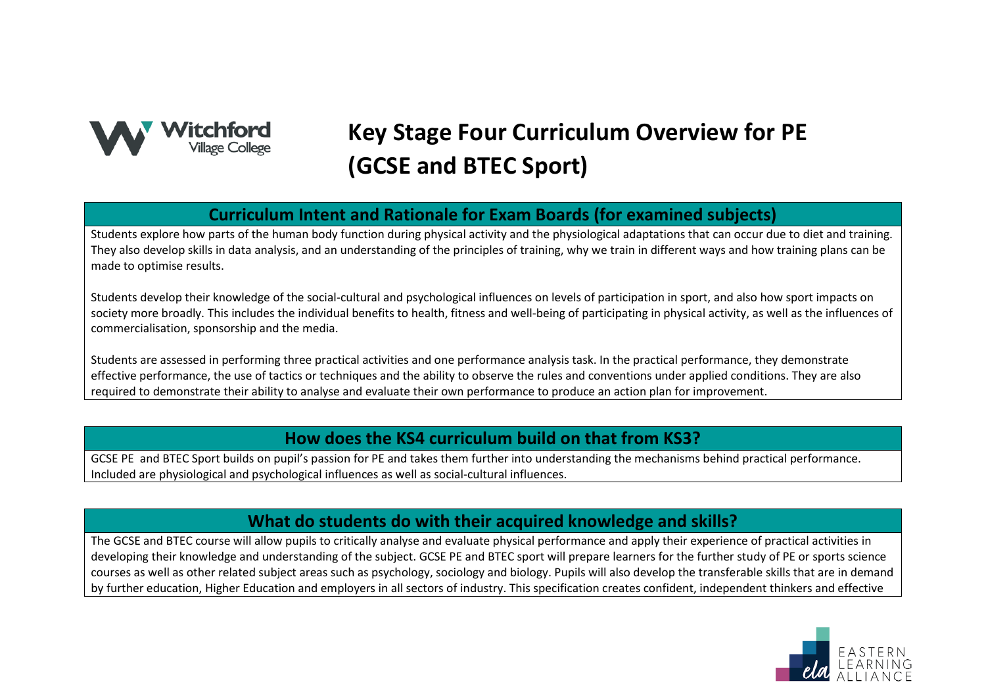

# **Key Stage Four Curriculum Overview for PE (GCSE and BTEC Sport)**

## **Curriculum Intent and Rationale for Exam Boards (for examined subjects)**

Students explore how parts of the human body function during physical activity and the physiological adaptations that can occur due to diet and training. They also develop skills in data analysis, and an understanding of the principles of training, why we train in different ways and how training plans can be made to optimise results.

Students develop their knowledge of the social-cultural and psychological influences on levels of participation in sport, and also how sport impacts on society more broadly. This includes the individual benefits to health, fitness and well-being of participating in physical activity, as well as the influences of commercialisation, sponsorship and the media.

Students are assessed in performing three practical activities and one performance analysis task. In the practical performance, they demonstrate effective performance, the use of tactics or techniques and the ability to observe the rules and conventions under applied conditions. They are also required to demonstrate their ability to analyse and evaluate their own performance to produce an action plan for improvement.

#### **How does the KS4 curriculum build on that from KS3?**

GCSE PE and BTEC Sport builds on pupil's passion for PE and takes them further into understanding the mechanisms behind practical performance. Included are physiological and psychological influences as well as social-cultural influences.

## **What do students do with their acquired knowledge and skills?**

The GCSE and BTEC course will allow pupils to critically analyse and evaluate physical performance and apply their experience of practical activities in developing their knowledge and understanding of the subject. GCSE PE and BTEC sport will prepare learners for the further study of PE or sports science courses as well as other related subject areas such as psychology, sociology and biology. Pupils will also develop the transferable skills that are in demand by further education, Higher Education and employers in all sectors of industry. This specification creates confident, independent thinkers and effective